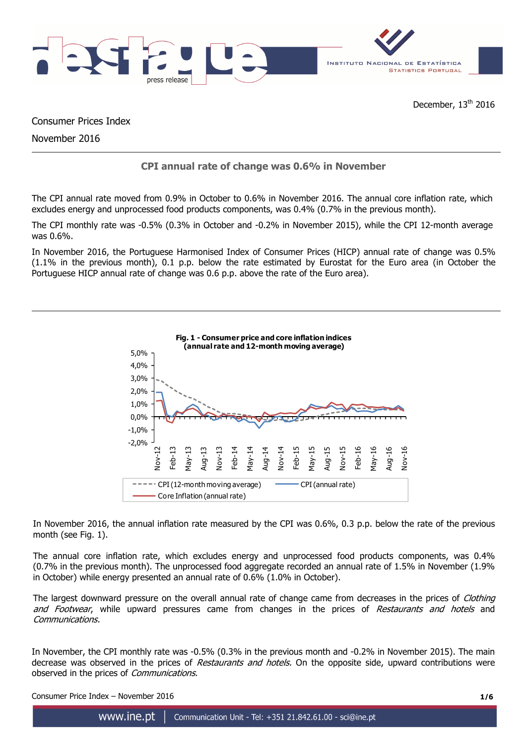

Consumer Prices Index

November 2016

# **CPI annual rate of change was 0.6% in November**

The CPI annual rate moved from 0.9% in October to 0.6% in November 2016. The annual core inflation rate, which excludes energy and unprocessed food products components, was 0.4% (0.7% in the previous month).

The CPI monthly rate was -0.5% (0.3% in October and -0.2% in November 2015), while the CPI 12-month average was 0.6%.

In November 2016, the Portuguese Harmonised Index of Consumer Prices (HICP) annual rate of change was 0.5% (1.1% in the previous month), 0.1 p.p. below the rate estimated by Eurostat for the Euro area (in October the Portuguese HICP annual rate of change was 0.6 p.p. above the rate of the Euro area).



In November 2016, the annual inflation rate measured by the CPI was 0.6%, 0.3 p.p. below the rate of the previous month (see Fig. 1).

The annual core inflation rate, which excludes energy and unprocessed food products components, was 0.4% (0.7% in the previous month). The unprocessed food aggregate recorded an annual rate of 1.5% in November (1.9% in October) while energy presented an annual rate of 0.6% (1.0% in October).

The largest downward pressure on the overall annual rate of change came from decreases in the prices of Clothing and Footwear, while upward pressures came from changes in the prices of Restaurants and hotels and Communications.

In November, the CPI monthly rate was -0.5% (0.3% in the previous month and -0.2% in November 2015). The main decrease was observed in the prices of Restaurants and hotels. On the opposite side, upward contributions were observed in the prices of Communications.

Consumer Price Index – November 2016 **1/6**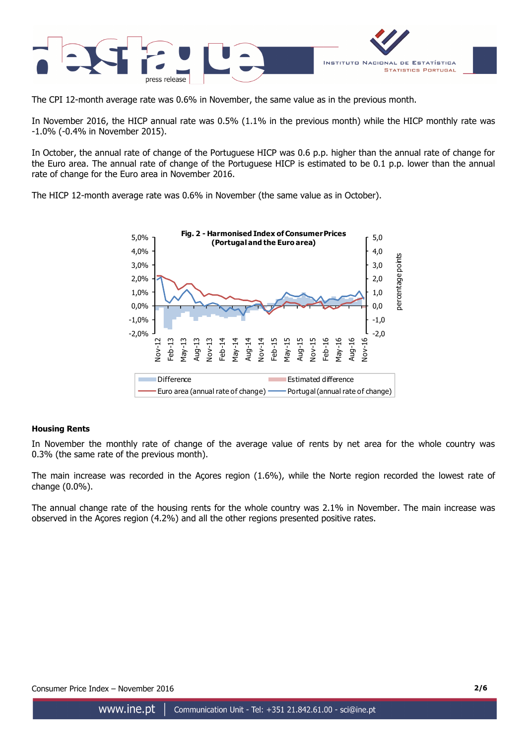

The CPI 12-month average rate was 0.6% in November, the same value as in the previous month.

In November 2016, the HICP annual rate was 0.5% (1.1% in the previous month) while the HICP monthly rate was -1.0% (-0.4% in November 2015).

In October, the annual rate of change of the Portuguese HICP was 0.6 p.p. higher than the annual rate of change for the Euro area. The annual rate of change of the Portuguese HICP is estimated to be 0.1 p.p. lower than the annual rate of change for the Euro area in November 2016.

The HICP 12-month average rate was 0.6% in November (the same value as in October).



# **Housing Rents**

In November the monthly rate of change of the average value of rents by net area for the whole country was 0.3% (the same rate of the previous month).

The main increase was recorded in the Açores region (1.6%), while the Norte region recorded the lowest rate of change (0.0%).

The annual change rate of the housing rents for the whole country was 2.1% in November. The main increase was observed in the Açores region (4.2%) and all the other regions presented positive rates.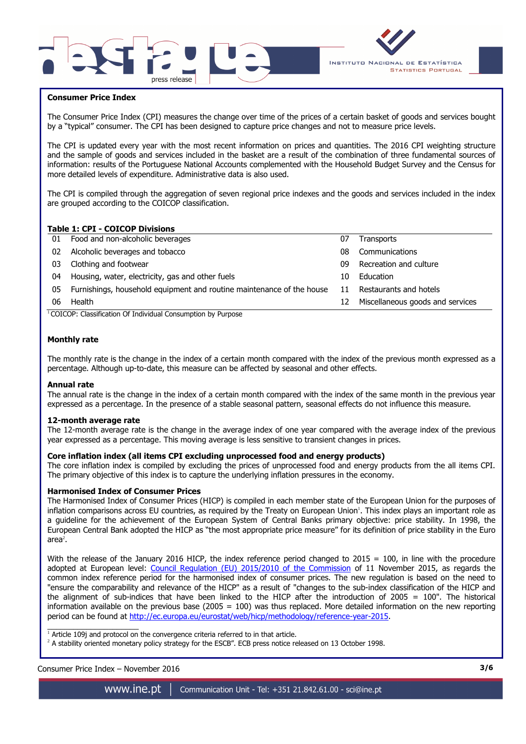



## **Consumer Price Index**

I

The Consumer Price Index (CPI) measures the change over time of the prices of a certain basket of goods and services bought by a "typical" consumer. The CPI has been designed to capture price changes and not to measure price levels.

The CPI is updated every year with the most recent information on prices and quantities. The 2016 CPI weighting structure and the sample of goods and services included in the basket are a result of the combination of three fundamental sources of information: results of the Portuguese National Accounts complemented with the Household Budget Survey and the Census for more detailed levels of expenditure. Administrative data is also used.

The CPI is compiled through the aggregation of seven regional price indexes and the goods and services included in the index are grouped according to the COICOP classification.

# **Table 1: CPI - COICOP Divisions**

|    | TUDIC 11 CI 1 COICOL DIVISIONS                                        |    |                                  |
|----|-----------------------------------------------------------------------|----|----------------------------------|
|    | 01 Food and non-alcoholic beverages                                   | 07 | <b>Transports</b>                |
| 02 | Alcoholic beverages and tobacco                                       | 08 | Communications                   |
| 03 | Clothing and footwear                                                 | n9 | Recreation and culture           |
| 04 | Housing, water, electricity, gas and other fuels                      | 10 | Education                        |
| 05 | Furnishings, household equipment and routine maintenance of the house | 11 | Restaurants and hotels           |
| 06 | Health                                                                | 12 | Miscellaneous goods and services |
|    |                                                                       |    |                                  |

<sup>1</sup>COICOP: Classification Of Individual Consumption by Purpose

## **Monthly rate**

The monthly rate is the change in the index of a certain month compared with the index of the previous month expressed as a percentage. Although up-to-date, this measure can be affected by seasonal and other effects.

### **Annual rate**

The annual rate is the change in the index of a certain month compared with the index of the same month in the previous year expressed as a percentage. In the presence of a stable seasonal pattern, seasonal effects do not influence this measure.

### **12-month average rate**

The 12-month average rate is the change in the average index of one year compared with the average index of the previous year expressed as a percentage. This moving average is less sensitive to transient changes in prices.

## **Core inflation index (all items CPI excluding unprocessed food and energy products)**

The core inflation index is compiled by excluding the prices of unprocessed food and energy products from the all items CPI. The primary objective of this index is to capture the underlying inflation pressures in the economy.

### **Harmonised Index of Consumer Prices**

The Harmonised Index of Consumer Prices (HICP) is compiled in each member state of the European Union for the purposes of inflation comparisons across EU countries, as required by the Treaty on European Union<sup>1</sup>. This index plays an important role as a guideline for the achievement of the European System of Central Banks primary objective: price stability. In 1998, the European Central Bank adopted the HICP as "the most appropriate price measure" for its definition of price stability in the Euro area $^2$ .

With the release of the January 2016 HICP, the index reference period changed to  $2015 = 100$ , in line with the procedure adopted at European level: Council Regulation (EU) 2015/2010 of the Commission of 11 November 2015, as regards the common index reference period for the harmonised index of consumer prices. The new regulation is based on the need to "ensure the comparability and relevance of the HICP" as a result of "changes to the sub-index classification of the HICP and the alignment of sub-indices that have been linked to the HICP after the introduction of 2005 = 100". The historical information available on the previous base (2005 =  $100$ ) was thus replaced. More detailed information on the new reporting period can be found at http://ec.europa.eu/eurostat/web/hicp/methodology/reference-year-2015.

1<br>Article 109j and protocol on the convergence criteria referred to in that article.

<sup>2</sup> A stability oriented monetary policy strategy for the ESCB". ECB press notice released on 13 October 1998.

# Consumer Price Index – November 2016 **3/6**

www.ine.pt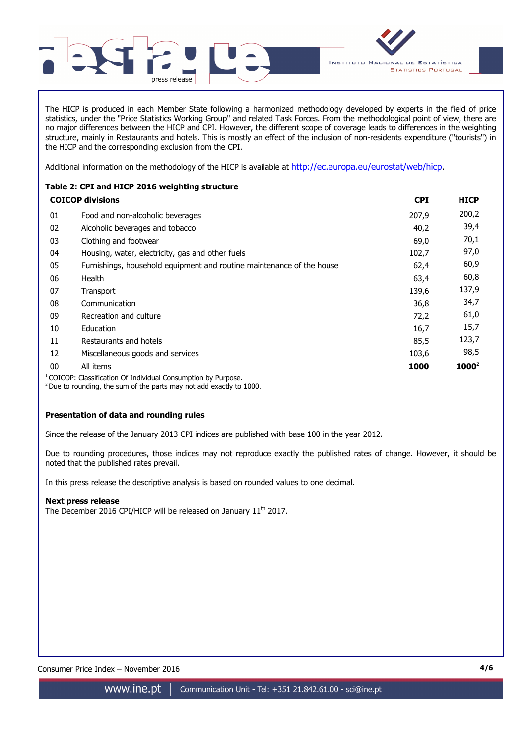

The HICP is produced in each Member State following a harmonized methodology developed by experts in the field of price statistics, under the "Price Statistics Working Group" and related Task Forces. From the methodological point of view, there are no major differences between the HICP and CPI. However, the different scope of coverage leads to differences in the weighting structure, mainly in Restaurants and hotels. This is mostly an effect of the inclusion of non-residents expenditure ("tourists") in the HICP and the corresponding exclusion from the CPI.

Additional information on the methodology of the HICP is available at http://ec.europa.eu/eurostat/web/hicp.

# **Table 2: CPI and HICP 2016 weighting structure**

|    | <b>COICOP divisions</b>                                               | <b>CPI</b> | <b>HICP</b> |
|----|-----------------------------------------------------------------------|------------|-------------|
| 01 | Food and non-alcoholic beverages                                      | 207,9      | 200,2       |
| 02 | Alcoholic beverages and tobacco                                       | 40,2       | 39,4        |
| 03 | Clothing and footwear                                                 | 69,0       | 70,1        |
| 04 | Housing, water, electricity, gas and other fuels                      | 102,7      | 97,0        |
| 05 | Furnishings, household equipment and routine maintenance of the house | 62,4       | 60,9        |
| 06 | Health                                                                | 63,4       | 60,8        |
| 07 | Transport                                                             | 139,6      | 137,9       |
| 08 | Communication                                                         | 36,8       | 34,7        |
| 09 | Recreation and culture                                                | 72,2       | 61,0        |
| 10 | Education                                                             | 16,7       | 15,7        |
| 11 | Restaurants and hotels                                                | 85,5       | 123,7       |
| 12 | Miscellaneous goods and services                                      | 103,6      | 98,5        |
| 00 | All items                                                             | 1000       | $1000^2$    |

<sup>1</sup> COICOP: Classification Of Individual Consumption by Purpose.

 $2$  Due to rounding, the sum of the parts may not add exactly to 1000.

# **Presentation of data and rounding rules**

Since the release of the January 2013 CPI indices are published with base 100 in the year 2012.

Due to rounding procedures, those indices may not reproduce exactly the published rates of change. However, it should be noted that the published rates prevail.

In this press release the descriptive analysis is based on rounded values to one decimal.

# **Next press release**

The December 2016 CPI/HICP will be released on January 11<sup>th</sup> 2017.

Consumer Price Index – November 2016 **4/6**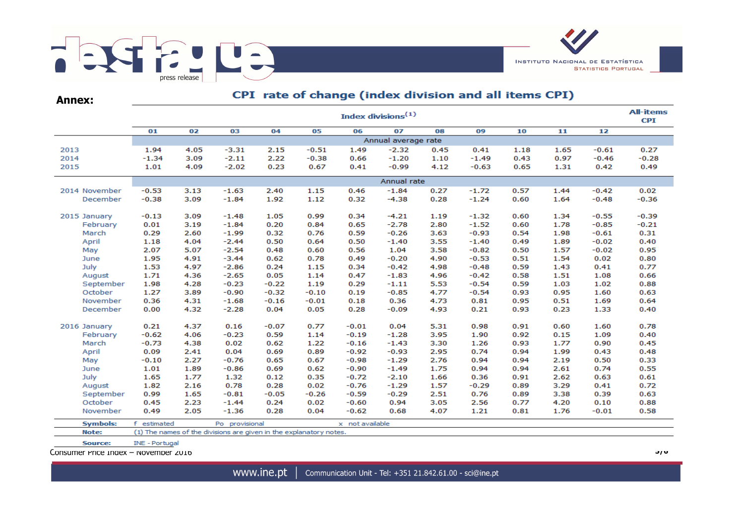

**Annex:**

# CPI rate of change (index division and all items CPI)

|                 | <b>All-items</b><br>Index divisions <sup>(1)</sup> |                     |                                                                    |         |         |                 |             |      |         |      |      |         |         |  |  |
|-----------------|----------------------------------------------------|---------------------|--------------------------------------------------------------------|---------|---------|-----------------|-------------|------|---------|------|------|---------|---------|--|--|
|                 | 01                                                 | 02                  | 03                                                                 | 04      | 05      | 06              | 07          | 08   | 09      | 10   | 11   | 12      |         |  |  |
|                 |                                                    | Annual average rate |                                                                    |         |         |                 |             |      |         |      |      |         |         |  |  |
| 2013            | 1.94                                               | 4.05                | $-3.31$                                                            | 2.15    | $-0.51$ | 1.49            | $-2.32$     | 0.45 | 0.41    | 1.18 | 1.65 | $-0.61$ | 0.27    |  |  |
| 2014            | $-1.34$                                            | 3.09                | $-2.11$                                                            | 2.22    | $-0.38$ | 0.66            | $-1.20$     | 1.10 | $-1.49$ | 0.43 | 0.97 | $-0.46$ | $-0.28$ |  |  |
| 2015            | 1.01                                               | 4.09                | $-2.02$                                                            | 0.23    | 0.67    | 0.41            | $-0.99$     | 4.12 | $-0.63$ | 0.65 | 1.31 | 0.42    | 0.49    |  |  |
|                 |                                                    |                     |                                                                    |         |         |                 | Annual rate |      |         |      |      |         |         |  |  |
| 2014 November   | $-0.53$                                            | 3.13                | $-1.63$                                                            | 2.40    | 1.15    | 0.46            | $-1.84$     | 0.27 | $-1.72$ | 0.57 | 1.44 | $-0.42$ | 0.02    |  |  |
| December        | $-0.38$                                            | 3.09                | $-1.84$                                                            | 1.92    | 1.12    | 0.32            | $-4.38$     | 0.28 | $-1.24$ | 0.60 | 1.64 | $-0.48$ | $-0.36$ |  |  |
|                 |                                                    |                     |                                                                    |         |         |                 |             |      |         |      |      |         |         |  |  |
| 2015 January    | $-0.13$                                            | 3.09                | $-1.48$                                                            | 1.05    | 0.99    | 0.34            | $-4.21$     | 1.19 | $-1.32$ | 0.60 | 1.34 | $-0.55$ | $-0.39$ |  |  |
| February        | 0.01                                               | 3.19                | $-1.84$                                                            | 0.20    | 0.84    | 0.65            | $-2.78$     | 2.80 | $-1.52$ | 0.60 | 1.78 | $-0.85$ | $-0.21$ |  |  |
| March           | 0.29                                               | 2.60                | $-1.99$                                                            | 0.32    | 0.76    | 0.59            | $-0.26$     | 3.63 | $-0.93$ | 0.54 | 1.98 | $-0.61$ | 0.31    |  |  |
| April           | 1.18                                               | 4.04                | $-2.44$                                                            | 0.50    | 0.64    | 0.50            | $-1.40$     | 3.55 | $-1.40$ | 0.49 | 1.89 | $-0.02$ | 0.40    |  |  |
| May             | 2.07                                               | 5.07                | $-2.54$                                                            | 0.48    | 0.60    | 0.56            | 1.04        | 3.58 | $-0.82$ | 0.50 | 1.57 | $-0.02$ | 0.95    |  |  |
| June            | 1.95                                               | 4.91                | $-3.44$                                                            | 0.62    | 0.78    | 0.49            | $-0.20$     | 4.90 | $-0.53$ | 0.51 | 1.54 | 0.02    | 0.80    |  |  |
| July            | 1.53                                               | 4.97                | $-2.86$                                                            | 0.24    | 1.15    | 0.34            | $-0.42$     | 4.98 | $-0.48$ | 0.59 | 1.43 | 0.41    | 0.77    |  |  |
| August          | 1.71                                               | 4.36                | $-2.65$                                                            | 0.05    | 1.14    | 0.47            | $-1.83$     | 4.96 | $-0.42$ | 0.58 | 1.51 | 1.08    | 0.66    |  |  |
| September       | 1.98                                               | 4.28                | $-0.23$                                                            | $-0.22$ | 1.19    | 0.29            | $-1.11$     | 5.53 | $-0.54$ | 0.59 | 1.03 | 1.02    | 0.88    |  |  |
| October         | 1.27                                               | 3.89                | $-0.90$                                                            | $-0.32$ | $-0.10$ | 0.19            | $-0.85$     | 4.77 | $-0.54$ | 0.93 | 0.95 | 1.60    | 0.63    |  |  |
| November        | 0.36                                               | 4.31                | $-1.68$                                                            | $-0.16$ | $-0.01$ | 0.18            | 0.36        | 4.73 | 0.81    | 0.95 | 0.51 | 1.69    | 0.64    |  |  |
| December        | 0.00                                               | 4.32                | $-2.28$                                                            | 0.04    | 0.05    | 0.28            | $-0.09$     | 4.93 | 0.21    | 0.93 | 0.23 | 1.33    | 0.40    |  |  |
| 2016 January    | 0.21                                               | 4.37                | 0.16                                                               | $-0.07$ | 0.77    | $-0.01$         | 0.04        | 5.31 | 0.98    | 0.91 | 0.60 | 1.60    | 0.78    |  |  |
| February        | $-0.62$                                            | 4.06                | $-0.23$                                                            | 0.59    | 1.14    | $-0.19$         | $-1.28$     | 3.95 | 1.90    | 0.92 | 0.15 | 1.09    | 0.40    |  |  |
| March           | $-0.73$                                            | 4.38                | 0.02                                                               | 0.62    | 1.22    | $-0.16$         | $-1.43$     | 3.30 | 1.26    | 0.93 | 1.77 | 0.90    | 0.45    |  |  |
| April           | 0.09                                               | 2.41                | 0.04                                                               | 0.69    | 0.89    | $-0.92$         | $-0.93$     | 2.95 | 0.74    | 0.94 | 1.99 | 0.43    | 0.48    |  |  |
| May             | $-0.10$                                            | 2.27                | $-0.76$                                                            | 0.65    | 0.67    | $-0.98$         | $-1.29$     | 2.76 | 0.94    | 0.94 | 2.19 | 0.50    | 0.33    |  |  |
| June            | 1.01                                               | 1.89                | $-0.86$                                                            | 0.69    | 0.62    | $-0.90$         | $-1.49$     | 1.75 | 0.94    | 0.94 | 2.61 | 0.74    | 0.55    |  |  |
| July            | 1.65                                               | 1.77                | 1.32                                                               | 0.12    | 0.35    | $-0.72$         | $-2.10$     | 1.66 | 0.36    | 0.91 | 2.62 | 0.63    | 0.61    |  |  |
| August          | 1.82                                               | 2.16                | 0.78                                                               | 0.28    | 0.02    | $-0.76$         | $-1.29$     | 1.57 | $-0.29$ | 0.89 | 3.29 | 0.41    | 0.72    |  |  |
| September       | 0.99                                               | 1.65                | $-0.81$                                                            | $-0.05$ | $-0.26$ | $-0.59$         | $-0.29$     | 2.51 | 0.76    | 0.89 | 3.38 | 0.39    | 0.63    |  |  |
| October         | 0.45                                               | 2.23                | $-1.44$                                                            | 0.24    | 0.02    | $-0.60$         | 0.94        | 3.05 | 2.56    | 0.77 | 4.20 | 0.10    | 0.88    |  |  |
| November        | 0.49                                               | 2.05                | $-1.36$                                                            | 0.28    | 0.04    | $-0.62$         | 0.68        | 4.07 | 1.21    | 0.81 | 1.76 | $-0.01$ | 0.58    |  |  |
| <b>Symbols:</b> | f estimated                                        |                     | Po provisional                                                     |         |         | x not available |             |      |         |      |      |         |         |  |  |
| Note:           |                                                    |                     | (1) The names of the divisions are given in the explanatory notes. |         |         |                 |             |      |         |      |      |         |         |  |  |
| Source:         | INE - Portugal                                     |                     |                                                                    |         |         |                 |             |      |         |      |      |         |         |  |  |

Consumer Price Index – November 2016 **5/6**